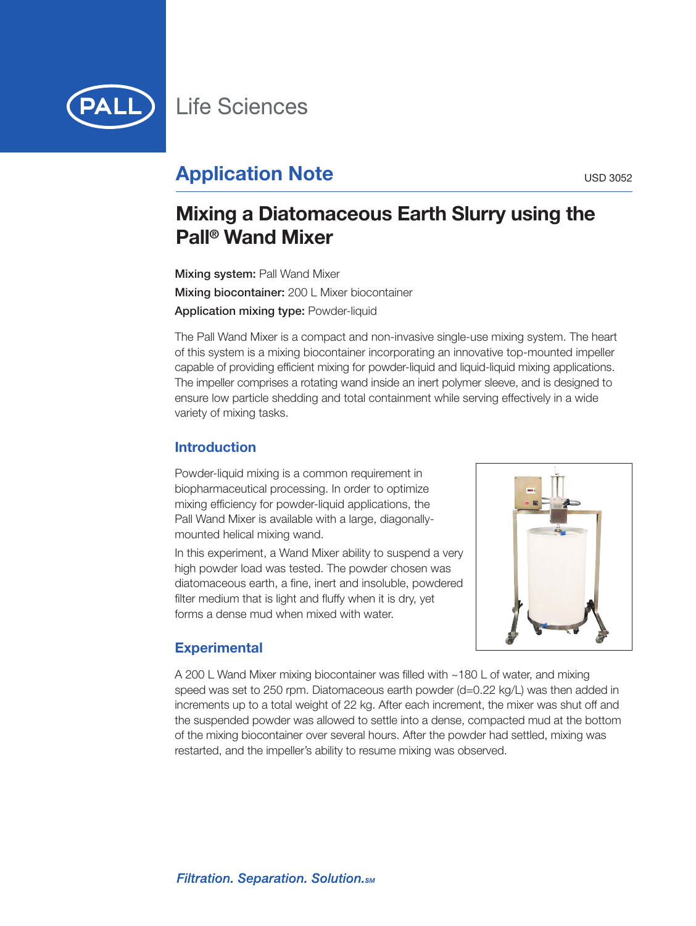

# **Application Note** USD 3052

## **Mixing a Diatomaceous Earth Slurry using the Pall ® Wand Mixer**

**Mixing system:** Pall Wand Mixer **Mixing biocontainer:** 200 L Mixer biocontainer **Application mixing type:** Powder-liquid

The Pall Wand Mixer is a compact and non-invasive single-use mixing system. The heart of this system is a mixing biocontainer incorporating an innovative top-mounted impeller capable of providing efficient mixing for powder-liquid and liquid-liquid mixing applications. The impeller comprises a rotating wand inside an inert polymer sleeve, and is designed to ensure low particle shedding and total containment while serving effectively in a wide variety of mixing tasks.

## **Introduction**

Powder-liquid mixing is a common requirement in biopharmaceutical processing. In order to optimize mixing efficiency for powder-liquid applications, the Pall Wand Mixer is available with a large, diagonallymounted helical mixing wand.

In this experiment, a Wand Mixer ability to suspend a very high powder load was tested. The powder chosen was diatomaceous earth, a fine, inert and insoluble, powdered filter medium that is light and fluffy when it is dry, yet forms a dense mud when mixed with water.



## **Experimental**

A 200 L Wand Mixer mixing biocontainer was filled with ~180 L of water, and mixing speed was set to 250 rpm. Diatomaceous earth powder (d=0.22 kg/L) was then added in increments up to a total weight of 22 kg. After each increment, the mixer was shut off and the suspended powder was allowed to settle into a dense, compacted mud at the bottom of the mixing biocontainer over several hours. After the powder had settled, mixing was restarted, and the impeller's ability to resume mixing was observed.